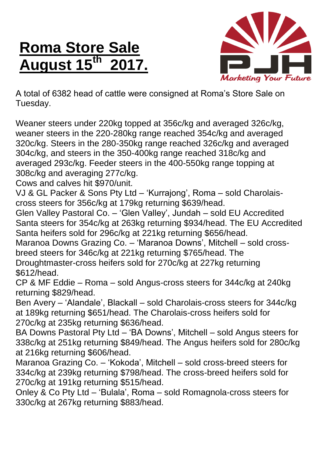## **Roma Store Sale August 15 th 2017.**



A total of 6382 head of cattle were consigned at Roma's Store Sale on Tuesday.

Weaner steers under 220kg topped at 356c/kg and averaged 326c/kg, weaner steers in the 220-280kg range reached 354c/kg and averaged 320c/kg. Steers in the 280-350kg range reached 326c/kg and averaged 304c/kg, and steers in the 350-400kg range reached 318c/kg and averaged 293c/kg. Feeder steers in the 400-550kg range topping at 308c/kg and averaging 277c/kg.

Cows and calves hit \$970/unit.

VJ & GL Packer & Sons Pty Ltd – 'Kurrajong', Roma – sold Charolaiscross steers for 356c/kg at 179kg returning \$639/head.

Glen Valley Pastoral Co. – 'Glen Valley', Jundah – sold EU Accredited Santa steers for 354c/kg at 263kg returning \$934/head. The EU Accredited Santa heifers sold for 296c/kg at 221kg returning \$656/head.

Maranoa Downs Grazing Co. – 'Maranoa Downs', Mitchell – sold crossbreed steers for 346c/kg at 221kg returning \$765/head. The Droughtmaster-cross heifers sold for 270c/kg at 227kg returning

\$612/head.

CP & MF Eddie – Roma – sold Angus-cross steers for 344c/kg at 240kg returning \$829/head.

Ben Avery – 'Alandale', Blackall – sold Charolais-cross steers for 344c/kg at 189kg returning \$651/head. The Charolais-cross heifers sold for 270c/kg at 235kg returning \$636/head.

BA Downs Pastoral Pty Ltd – 'BA Downs', Mitchell – sold Angus steers for 338c/kg at 251kg returning \$849/head. The Angus heifers sold for 280c/kg at 216kg returning \$606/head.

Maranoa Grazing Co. – 'Kokoda', Mitchell – sold cross-breed steers for 334c/kg at 239kg returning \$798/head. The cross-breed heifers sold for 270c/kg at 191kg returning \$515/head.

Onley & Co Pty Ltd – 'Bulala', Roma – sold Romagnola-cross steers for 330c/kg at 267kg returning \$883/head.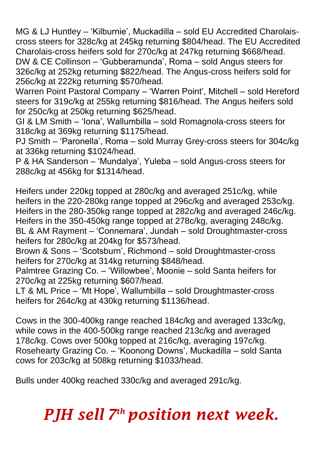MG & LJ Huntley – 'Kilburnie', Muckadilla – sold EU Accredited Charolaiscross steers for 328c/kg at 245kg returning \$804/head. The EU Accredited Charolais-cross heifers sold for 270c/kg at 247kg returning \$668/head. DW & CE Collinson – 'Gubberamunda', Roma – sold Angus steers for 326c/kg at 252kg returning \$822/head. The Angus-cross heifers sold for 256c/kg at 222kg returning \$570/head.

Warren Point Pastoral Company – 'Warren Point', Mitchell – sold Hereford steers for 319c/kg at 255kg returning \$816/head. The Angus heifers sold for 250c/kg at 250kg returning \$625/head.

GI & LM Smith – 'Iona', Wallumbilla – sold Romagnola-cross steers for 318c/kg at 369kg returning \$1175/head.

PJ Smith – 'Paronella', Roma – sold Murray Grey-cross steers for 304c/kg at 336kg returning \$1024/head.

P & HA Sanderson – 'Mundalya', Yuleba – sold Angus-cross steers for 288c/kg at 456kg for \$1314/head.

Heifers under 220kg topped at 280c/kg and averaged 251c/kg, while heifers in the 220-280kg range topped at 296c/kg and averaged 253c/kg. Heifers in the 280-350kg range topped at 282c/kg and averaged 246c/kg. Heifers in the 350-450kg range topped at 278c/kg, averaging 248c/kg. BL & AM Rayment – 'Connemara', Jundah – sold Droughtmaster-cross heifers for 280c/kg at 204kg for \$573/head.

Brown & Sons – 'Scotsburn', Richmond – sold Droughtmaster-cross heifers for 270c/kg at 314kg returning \$848/head.

Palmtree Grazing Co. – 'Willowbee', Moonie – sold Santa heifers for 270c/kg at 225kg returning \$607/head.

LT & ML Price – 'Mt Hope', Wallumbilla – sold Droughtmaster-cross heifers for 264c/kg at 430kg returning \$1136/head.

Cows in the 300-400kg range reached 184c/kg and averaged 133c/kg, while cows in the 400-500kg range reached 213c/kg and averaged 178c/kg. Cows over 500kg topped at 216c/kg, averaging 197c/kg. Rosehearty Grazing Co. – 'Koonong Downs', Muckadilla – sold Santa cows for 203c/kg at 508kg returning \$1033/head.

Bulls under 400kg reached 330c/kg and averaged 291c/kg.

## *PJH sell 7 th position next week.*